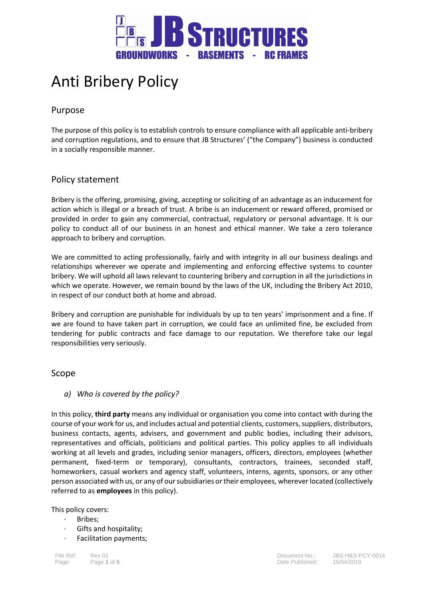

# Anti Bribery Policy

# Purpose

The purpose of this policy is to establish controls to ensure compliance with all applicable anti-bribery and corruption regulations, and to ensure that JB Structures' ("the Company") business is conducted in a socially responsible manner.

# Policy statement

Bribery is the offering, promising, giving, accepting or soliciting of an advantage as an inducement for action which is illegal or a breach of trust. A bribe is an inducement or reward offered, promised or provided in order to gain any commercial, contractual, regulatory or personal advantage. It is our policy to conduct all of our business in an honest and ethical manner. We take a zero tolerance approach to bribery and corruption.

We are committed to acting professionally, fairly and with integrity in all our business dealings and relationships wherever we operate and implementing and enforcing effective systems to counter bribery. We will uphold all laws relevant to countering bribery and corruption in all the jurisdictions in which we operate. However, we remain bound by the laws of the UK, including the Bribery Act 2010, in respect of our conduct both at home and abroad.

Bribery and corruption are punishable for individuals by up to ten years' imprisonment and a fine. If we are found to have taken part in corruption, we could face an unlimited fine, be excluded from tendering for public contracts and face damage to our reputation. We therefore take our legal responsibilities very seriously.

## Scope

## *a) Who is covered by the policy?*

In this policy, **third party** means any individual or organisation you come into contact with during the course of your work for us, and includes actual and potential clients, customers, suppliers, distributors, business contacts, agents, advisers, and government and public bodies, including their advisors, representatives and officials, politicians and political parties. This policy applies to all individuals working at all levels and grades, including senior managers, officers, directors, employees (whether permanent, fixed-term or temporary), consultants, contractors, trainees, seconded staff, homeworkers, casual workers and agency staff, volunteers, interns, agents, sponsors, or any other person associated with us, or any of our subsidiaries or their employees, wherever located (collectively referred to as **employees** in this policy).

#### This policy covers:

- · Bribes;
	- Gifts and hospitality;
	- Facilitation payments;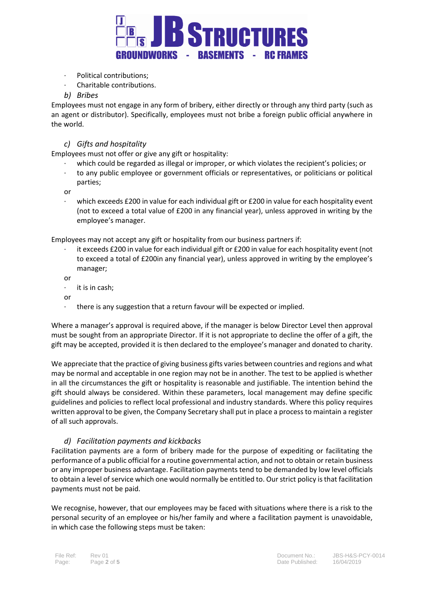

- · Political contributions;
- · Charitable contributions.

#### *b) Bribes*

Employees must not engage in any form of bribery, either directly or through any third party (such as an agent or distributor). Specifically, employees must not bribe a foreign public official anywhere in the world.

#### *c) Gifts and hospitality*

Employees must not offer or give any gift or hospitality:

- which could be regarded as illegal or improper, or which violates the recipient's policies; or
- · to any public employee or government officials or representatives, or politicians or political parties;

or

which exceeds £200 in value for each individual gift or £200 in value for each hospitality event (not to exceed a total value of £200 in any financial year), unless approved in writing by the employee's manager.

Employees may not accept any gift or hospitality from our business partners if:

it exceeds £200 in value for each individual gift or £200 in value for each hospitality event (not to exceed a total of £200in any financial year), unless approved in writing by the employee's manager;

or

- it is in cash;
- or
- · there is any suggestion that a return favour will be expected or implied.

Where a manager's approval is required above, if the manager is below Director Level then approval must be sought from an appropriate Director. If it is not appropriate to decline the offer of a gift, the gift may be accepted, provided it is then declared to the employee's manager and donated to charity.

We appreciate that the practice of giving business gifts varies between countries and regions and what may be normal and acceptable in one region may not be in another. The test to be applied is whether in all the circumstances the gift or hospitality is reasonable and justifiable. The intention behind the gift should always be considered. Within these parameters, local management may define specific guidelines and policies to reflect local professional and industry standards. Where this policy requires written approval to be given, the Company Secretary shall put in place a process to maintain a register of all such approvals.

#### *d) Facilitation payments and kickbacks*

Facilitation payments are a form of bribery made for the purpose of expediting or facilitating the performance of a public official for a routine governmental action, and not to obtain or retain business or any improper business advantage. Facilitation payments tend to be demanded by low level officials to obtain a level of service which one would normally be entitled to. Our strict policy is that facilitation payments must not be paid.

We recognise, however, that our employees may be faced with situations where there is a risk to the personal security of an employee or his/her family and where a facilitation payment is unavoidable, in which case the following steps must be taken: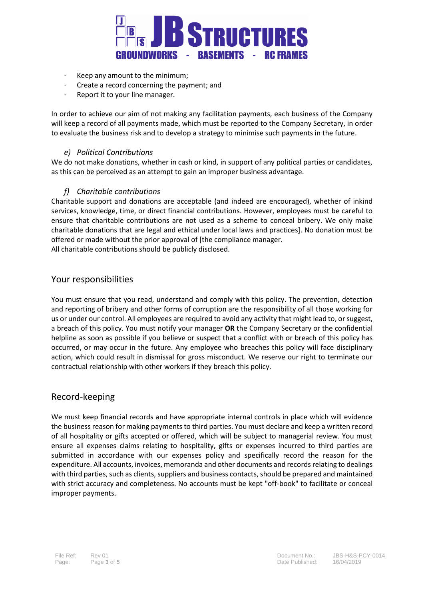

- · Keep any amount to the minimum;
- · Create a record concerning the payment; and
- Report it to your line manager.

In order to achieve our aim of not making any facilitation payments, each business of the Company will keep a record of all payments made, which must be reported to the Company Secretary, in order to evaluate the business risk and to develop a strategy to minimise such payments in the future.

#### *e) Political Contributions*

We do not make donations, whether in cash or kind, in support of any political parties or candidates, as this can be perceived as an attempt to gain an improper business advantage.

#### *f) Charitable contributions*

Charitable support and donations are acceptable (and indeed are encouraged), whether of inkind services, knowledge, time, or direct financial contributions. However, employees must be careful to ensure that charitable contributions are not used as a scheme to conceal bribery. We only make charitable donations that are legal and ethical under local laws and practices]. No donation must be offered or made without the prior approval of [the compliance manager.

All charitable contributions should be publicly disclosed.

### Your responsibilities

You must ensure that you read, understand and comply with this policy. The prevention, detection and reporting of bribery and other forms of corruption are the responsibility of all those working for us or under our control. All employees are required to avoid any activity that might lead to, or suggest, a breach of this policy. You must notify your manager **OR** the Company Secretary or the confidential helpline as soon as possible if you believe or suspect that a conflict with or breach of this policy has occurred, or may occur in the future. Any employee who breaches this policy will face disciplinary action, which could result in dismissal for gross misconduct. We reserve our right to terminate our contractual relationship with other workers if they breach this policy.

#### Record-keeping

We must keep financial records and have appropriate internal controls in place which will evidence the business reason for making payments to third parties. You must declare and keep a written record of all hospitality or gifts accepted or offered, which will be subject to managerial review. You must ensure all expenses claims relating to hospitality, gifts or expenses incurred to third parties are submitted in accordance with our expenses policy and specifically record the reason for the expenditure. All accounts, invoices, memoranda and other documents and records relating to dealings with third parties, such as clients, suppliers and business contacts, should be prepared and maintained with strict accuracy and completeness. No accounts must be kept "off-book" to facilitate or conceal improper payments.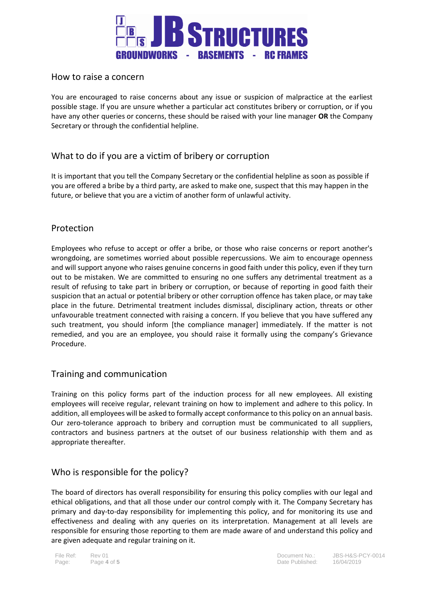

## How to raise a concern

You are encouraged to raise concerns about any issue or suspicion of malpractice at the earliest possible stage. If you are unsure whether a particular act constitutes bribery or corruption, or if you have any other queries or concerns, these should be raised with your line manager **OR** the Company Secretary or through the confidential helpline.

# What to do if you are a victim of bribery or corruption

It is important that you tell the Company Secretary or the confidential helpline as soon as possible if you are offered a bribe by a third party, are asked to make one, suspect that this may happen in the future, or believe that you are a victim of another form of unlawful activity.

## Protection

Employees who refuse to accept or offer a bribe, or those who raise concerns or report another's wrongdoing, are sometimes worried about possible repercussions. We aim to encourage openness and will support anyone who raises genuine concerns in good faith under this policy, even if they turn out to be mistaken. We are committed to ensuring no one suffers any detrimental treatment as a result of refusing to take part in bribery or corruption, or because of reporting in good faith their suspicion that an actual or potential bribery or other corruption offence has taken place, or may take place in the future. Detrimental treatment includes dismissal, disciplinary action, threats or other unfavourable treatment connected with raising a concern. If you believe that you have suffered any such treatment, you should inform [the compliance manager] immediately. If the matter is not remedied, and you are an employee, you should raise it formally using the company's Grievance Procedure.

# Training and communication

Training on this policy forms part of the induction process for all new employees. All existing employees will receive regular, relevant training on how to implement and adhere to this policy. In addition, all employees will be asked to formally accept conformance to this policy on an annual basis. Our zero-tolerance approach to bribery and corruption must be communicated to all suppliers, contractors and business partners at the outset of our business relationship with them and as appropriate thereafter.

## Who is responsible for the policy?

The board of directors has overall responsibility for ensuring this policy complies with our legal and ethical obligations, and that all those under our control comply with it. The Company Secretary has primary and day-to-day responsibility for implementing this policy, and for monitoring its use and effectiveness and dealing with any queries on its interpretation. Management at all levels are responsible for ensuring those reporting to them are made aware of and understand this policy and are given adequate and regular training on it.

File Ref: Rev 01 Document No.: JBS-H&S-PCY-0014 Page: Page **4** of **5** Date Published: 16/04/2019